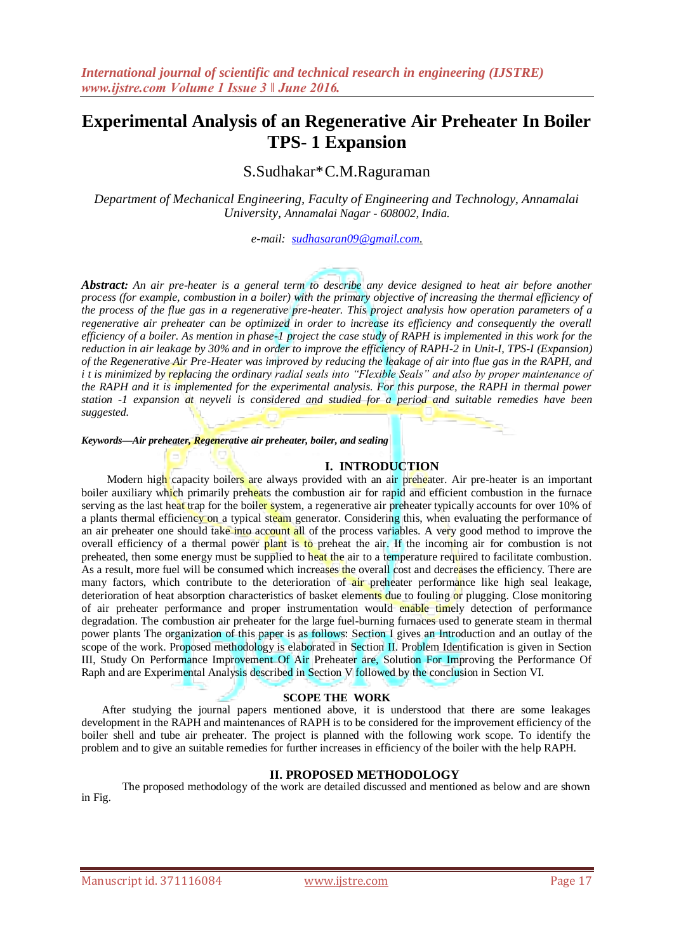# **Experimental Analysis of an Regenerative Air Preheater In Boiler TPS- 1 Expansion**

## S.Sudhakar\*C.M.Raguraman

*Department of Mechanical Engineering, Faculty of Engineering and Technology, Annamalai University, Annamalai Nagar - 608002, India.*

*e-mail: [sudhasaran09@gmail.com.](mailto:sudhasaran09@gmail.com)*

*Abstract: An air pre-heater is a general term to describe any device designed to heat air before another process (for example, combustion in a boiler) with the primary objective of increasing the thermal efficiency of the process of the flue gas in a regenerative pre-heater. This project analysis how operation parameters of a regenerative air preheater can be optimized in order to increase its efficiency and consequently the overall efficiency of a boiler. As mention in phase-1 project the case study of RAPH is implemented in this work for the reduction in air leakage by 30% and in order to improve the efficiency of RAPH-2 in Unit-I, TPS-I (Expansion) of the Regenerative Air Pre-Heater was improved by reducing the leakage of air into flue gas in the RAPH, and i t is minimized by replacing the ordinary radial seals into "Flexible Seals" and also by proper maintenance of the RAPH and it is implemented for the experimental analysis. For this purpose, the RAPH in thermal power station -1 expansion at neyveli is considered and studied for a period and suitable remedies have been suggested.*

#### *Keywords—Air preheater, Regenerative air preheater, boiler, and sealing*

#### **I. INTRODUCTION**

Modern high capacity boilers are always provided with an air preheater. Air pre-heater is an important boiler auxiliary which primarily preheats the combustion air for rapid and efficient combustion in the furnace serving as the last heat trap for the boiler system, a regenerative air preheater typically accounts for over 10% of a plants thermal efficiency on a typical steam generator. Considering this, when evaluating the performance of an air preheater one should take into account all of the process variables. A very good method to improve the overall efficiency of a thermal power plant is to preheat the air. If the incoming air for combustion is not preheated, then some energy must be supplied to heat the air to a temperature required to facilitate combustion. As a result, more fuel will be consumed which increases the overall cost and decreases the efficiency. There are many factors, which contribute to the deterioration of air preheater performance like high seal leakage, deterioration of heat absorption characteristics of basket elements due to fouling or plugging. Close monitoring of air preheater performance and proper instrumentation would enable timely detection of performance degradation. The combustion air preheater for the large fuel-burning furnaces used to generate steam in thermal power plants The organization of this paper is as follows: Section I gives an Introduction and an outlay of the scope of the work. Proposed methodology is elaborated in Section II. Problem Identification is given in Section III, Study On Performance Improvement Of Air Preheater are, Solution For Improving the Performance Of Raph and are Experimental Analysis described in Section V followed by the conclusion in Section VI.

### **SCOPE THE WORK**

After studying the journal papers mentioned above, it is understood that there are some leakages development in the RAPH and maintenances of RAPH is to be considered for the improvement efficiency of the boiler shell and tube air preheater. The project is planned with the following work scope. To identify the problem and to give an suitable remedies for further increases in efficiency of the boiler with the help RAPH.

## **II. PROPOSED METHODOLOGY**

The proposed methodology of the work are detailed discussed and mentioned as below and are shown in Fig.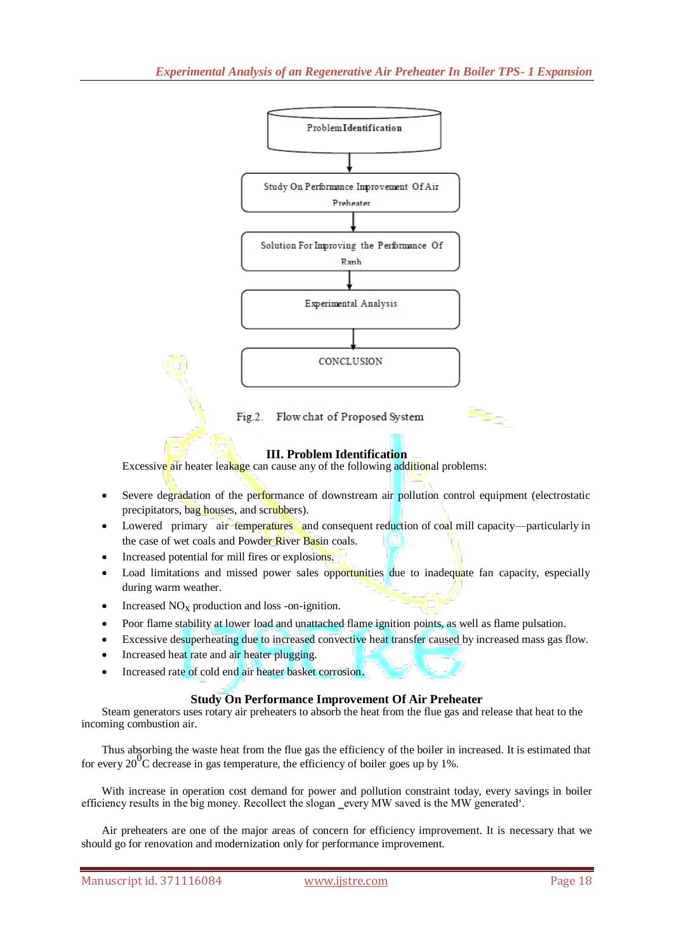

Flow chat of Proposed System  $Fig. 2.$ 

## **III. Problem Identification**

Excessive air heater leakage can cause any of the following additional problems:

- Severe degradation of the performance of downstream air pollution control equipment (electrostatic precipitators, bag houses, and scrubbers).
- Lowered primary air temperatures and consequent reduction of coal mill capacity—particularly in the case of wet coals and Powder River Basin coals.
- Increased potential for mill fires or explosions.
- Load limitations and missed power sales opportunities due to inadequate fan capacity, especially during warm weather.
- Increased  $NO<sub>x</sub>$  production and loss -on-ignition.
- Poor flame stability at lower load and unattached flame ignition points, as well as flame pulsation.
- Excessive desuperheating due to increased convective heat transfer caused by increased mass gas flow.
- Increased heat rate and air heater plugging.
- Increased rate of cold end air heater basket corrosion.

## **Study On Performance Improvement Of Air Preheater**

Steam generators uses rotary air preheaters to absorb the heat from the flue gas and release that heat to the incoming combustion air.

Thus absorbing the waste heat from the flue gas the efficiency of the boiler in increased. It is estimated that for every  $20^{\circ}$ C decrease in gas temperature, the efficiency of boiler goes up by 1%.

With increase in operation cost demand for power and pollution constraint today, every savings in boiler efficiency results in the big money. Recollect the slogan \_every MW saved is the MW generated'.

Air preheaters are one of the major areas of concern for efficiency improvement. It is necessary that we should go for renovation and modernization only for performance improvement.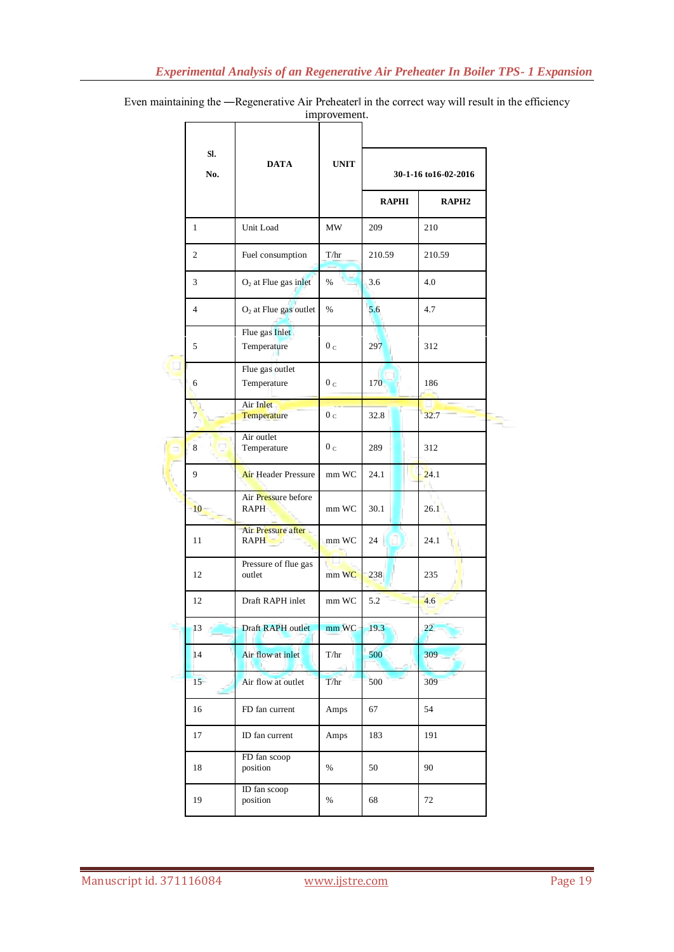Even maintaining the -Regenerative Air Preheaterl in the correct way will result in the efficiency improvement.

|  | SI.<br>No.     | <b>DATA</b>                        | <b>UNIT</b>    |                      |                   |
|--|----------------|------------------------------------|----------------|----------------------|-------------------|
|  |                |                                    |                | 30-1-16 to16-02-2016 |                   |
|  |                |                                    |                | <b>RAPHI</b>         | RAPH <sub>2</sub> |
|  | $\mathbf{1}$   | Unit Load                          | MW             | 209                  | 210               |
|  | $\overline{c}$ | Fuel consumption                   | T/hr           | 210.59               | 210.59            |
|  | 3              | $O2$ at Flue gas inlet             | %              | 3.6                  | 4.0               |
|  | $\overline{4}$ | $O2$ at Flue gas outlet            | $\%$           | 5.6                  | 4.7               |
|  | 5              | Flue gas Inlet<br>Temperature      | 0 <sub>c</sub> | 297                  | 312               |
|  | 6              | Flue gas outlet<br>Temperature     | 0 <sub>c</sub> | 170                  | 186               |
|  | $\overline{7}$ | Air Inlet<br>Temperature           | 0 <sub>c</sub> | 32.8                 | 32.7              |
|  | 8              | Air outlet<br>Temperature          | 0 <sub>c</sub> | 289                  | 312               |
|  | 9              | <b>Air Header Pressure</b>         | mm WC          | 24.1                 | 24.1              |
|  | 10             | Air Pressure before<br><b>RAPH</b> | mm WC          | 30.1                 | 26.1              |
|  | 11             | Air Pressure after<br><b>RAPH</b>  | mm WC          | 24                   | 24.1              |
|  | 12             | Pressure of flue gas<br>outlet     | mm WC          | 238                  | 235               |
|  | 12             | Draft RAPH inlet                   | mm WC          | 5.2                  | 4.6               |
|  | 13             | Draft RAPH outlet                  | mm WC          | 19.3                 | 22 <sub>1</sub>   |
|  | 14             | Air flow at inlet                  | T/hr           | 500                  | 309               |
|  | 15             | Air flow at outlet                 | T/hr           | 500                  | 309               |
|  | 16             | FD fan current                     | Amps           | 67                   | 54                |
|  | 17             | ID fan current                     | Amps           | 183                  | 191               |
|  | 18             | FD fan scoop<br>position           | %              | 50                   | 90                |
|  | 19             | ID fan scoop<br>position           | $\%$           | 68                   | 72                |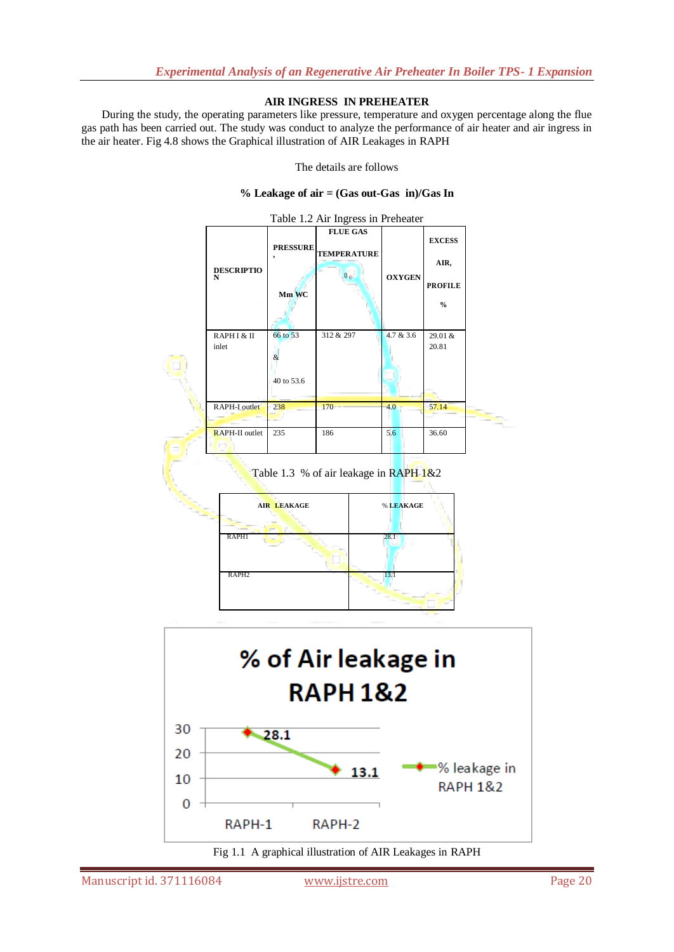## **AIR INGRESS IN PREHEATER**

During the study, the operating parameters like pressure, temperature and oxygen percentage along the flue gas path has been carried out. The study was conduct to analyze the performance of air heater and air ingress in the air heater. Fig 4.8 shows the Graphical illustration of AIR Leakages in RAPH

The details are follows

#### **% Leakage of air = (Gas out-Gas in)/Gas In**



Table 1.3 % of air leakage in RAPH 1&2





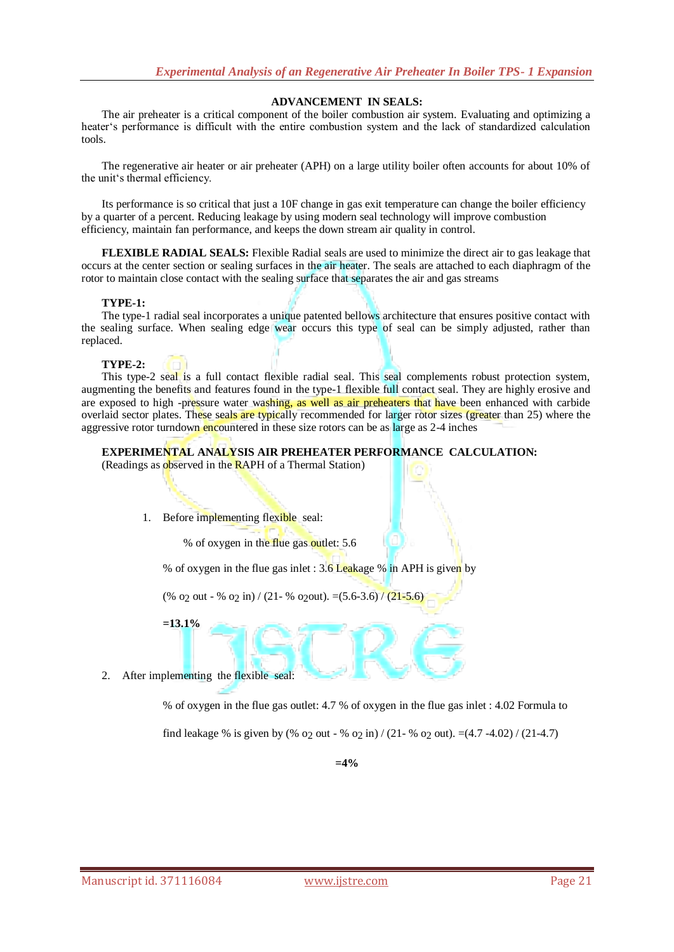## **ADVANCEMENT IN SEALS:**

The air preheater is a critical component of the boiler combustion air system. Evaluating and optimizing a heater's performance is difficult with the entire combustion system and the lack of standardized calculation tools.

The regenerative air heater or air preheater (APH) on a large utility boiler often accounts for about 10% of the unit's thermal efficiency.

Its performance is so critical that just a 10F change in gas exit temperature can change the boiler efficiency by a quarter of a percent. Reducing leakage by using modern seal technology will improve combustion efficiency, maintain fan performance, and keeps the down stream air quality in control.

**FLEXIBLE RADIAL SEALS:** Flexible Radial seals are used to minimize the direct air to gas leakage that occurs at the center section or sealing surfaces in the air heater. The seals are attached to each diaphragm of the rotor to maintain close contact with the sealing surface that separates the air and gas streams

#### **TYPE-1:**

The type-1 radial seal incorporates a unique patented bellows architecture that ensures positive contact with the sealing surface. When sealing edge wear occurs this type of seal can be simply adjusted, rather than replaced.

#### **TYPE-2:**

This type-2 seal is a full contact flexible radial seal. This seal complements robust protection system, augmenting the benefits and features found in the type-1 flexible full contact seal. They are highly erosive and are exposed to high -pressure water washing, as well as air preheaters that have been enhanced with carbide overlaid sector plates. These seals are typically recommended for larger rotor sizes (greater than 25) where the aggressive rotor turndown encountered in these size rotors can be as large as 2-4 inches

#### **EXPERIMENTAL ANALYSIS AIR PREHEATER PERFORMANCE CALCULATION:**

(Readings as observed in the RAPH of a Thermal Station)

1. Before implementing flexible seal:

% of oxygen in the flue gas outlet: 5.6

% of oxygen in the flue gas inlet :  $3.6$  Leakage % in APH is given by

(% o<sub>2</sub> out - % o<sub>2</sub> in) / (21- % o<sub>2</sub> out).  $=(5.6-3.6)$  / (21-5.6)

**=13.1%**

2. After implementing the flexible seal:

% of oxygen in the flue gas outlet: 4.7 % of oxygen in the flue gas inlet : 4.02 Formula to

find leakage % is given by (%  $\sigma$  out - %  $\sigma$  o in) / (21- %  $\sigma$  o out). =(4.7 -4.02) / (21-4.7)

**=4%**